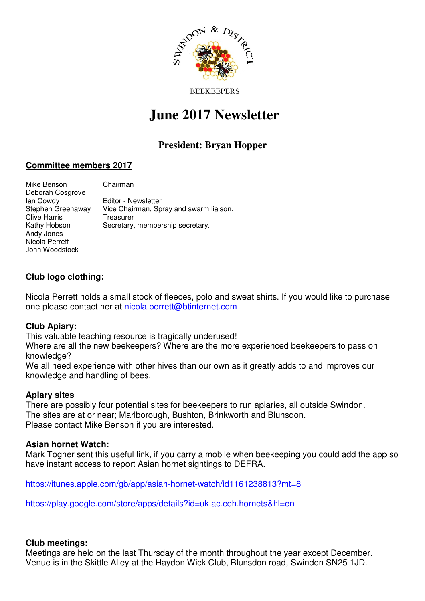

#### **BEEKEEPERS**

# **June 2017 Newsletter**

# **President: Bryan Hopper**

### **Committee members 2017**

Mike Benson Chairman Deborah Cosgrove<br>Ian Cowdy Ian Cowdy<br>Stephen Greenaway Vice Chairman, Sp Vice Chairman, Spray and swarm liaison. Clive Harris Treasurer Kathy Hobson Secretary, membership secretary. Andy Jones Nicola Perrett John Woodstock

# **Club logo clothing:**

Nicola Perrett holds a small stock of fleeces, polo and sweat shirts. If you would like to purchase one please contact her at nicola.perrett@btinternet.com

#### **Club Apiary:**

This valuable teaching resource is tragically underused!

Where are all the new beekeepers? Where are the more experienced beekeepers to pass on knowledge?

We all need experience with other hives than our own as it greatly adds to and improves our knowledge and handling of bees.

#### **Apiary sites**

There are possibly four potential sites for beekeepers to run apiaries, all outside Swindon. The sites are at or near; Marlborough, Bushton, Brinkworth and Blunsdon. Please contact Mike Benson if you are interested.

#### **Asian hornet Watch:**

Mark Togher sent this useful link, if you carry a mobile when beekeeping you could add the app so have instant access to report Asian hornet sightings to DEFRA.

https://itunes.apple.com/gb/app/asian-hornet-watch/id1161238813?mt=8

https://play.google.com/store/apps/details?id=uk.ac.ceh.hornets&hl=en

# **Club meetings:**

Meetings are held on the last Thursday of the month throughout the year except December. Venue is in the Skittle Alley at the Haydon Wick Club, Blunsdon road, Swindon SN25 1JD.